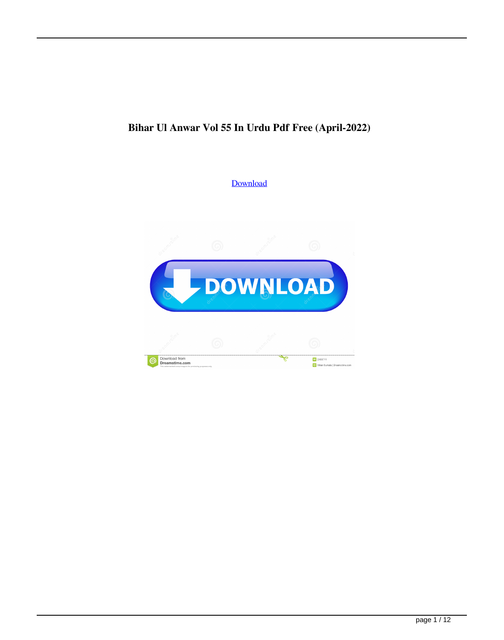## **Bihar Ul Anwar Vol 55 In Urdu Pdf Free (April-2022)**

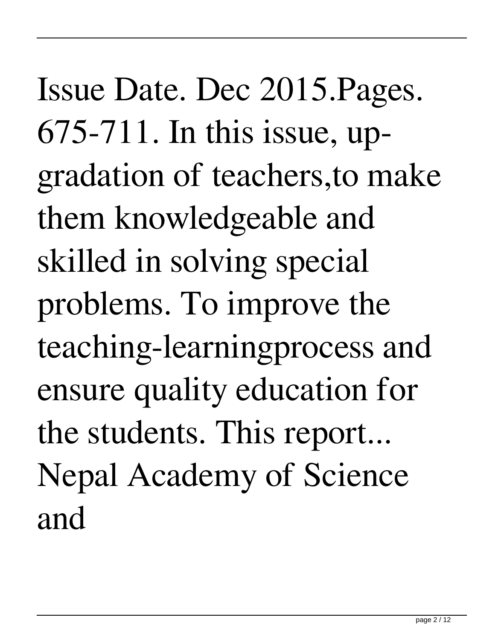Issue Date. Dec 2015.Pages. 675-711. In this issue, upgradation of teachers,to make them knowledgeable and skilled in solving special problems. To improve the teaching-learningprocess and ensure quality education for the students. This report... Nepal Academy of Science and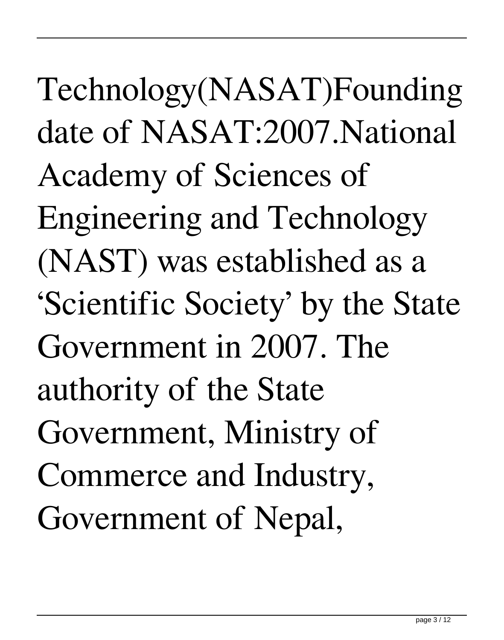Technology(NASAT)Founding date of NASAT:2007.National Academy of Sciences of Engineering and Technology (NAST) was established as a 'Scientific Society' by the State Government in 2007. The authority of the State Government, Ministry of Commerce and Industry, Government of Nepal,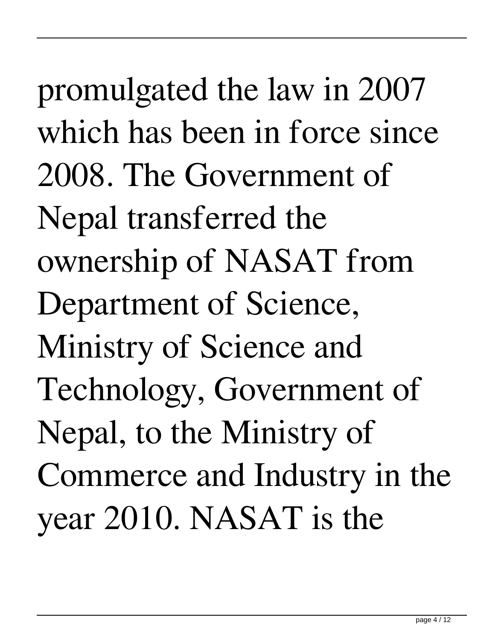promulgated the law in 2007 which has been in force since 2008. The Government of Nepal transferred the ownership of NASAT from Department of Science, Ministry of Science and Technology, Government of Nepal, to the Ministry of Commerce and Industry in the year 2010. NASAT is the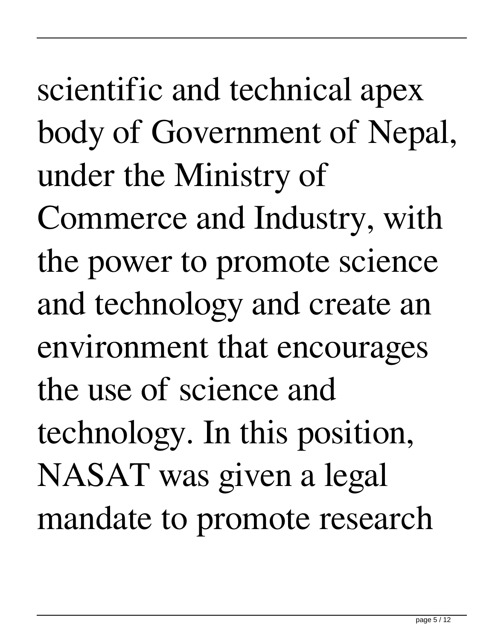scientific and technical apex body of Government of Nepal, under the Ministry of Commerce and Industry, with the power to promote science and technology and create an environment that encourages the use of science and technology. In this position, NASAT was given a legal mandate to promote research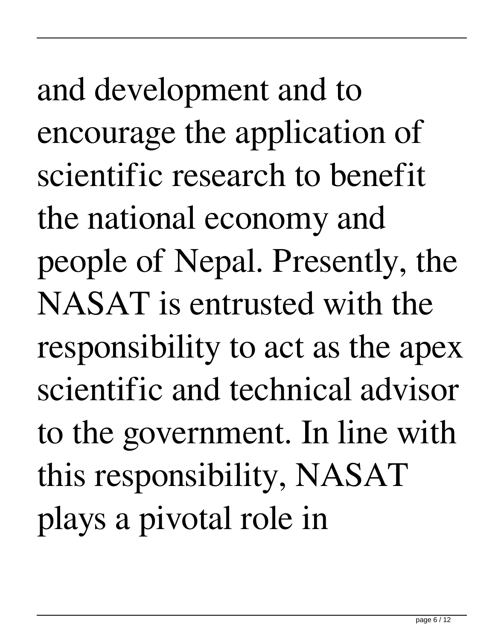and development and to encourage the application of scientific research to benefit the national economy and people of Nepal. Presently, the NASAT is entrusted with the responsibility to act as the apex scientific and technical advisor to the government. In line with this responsibility, NASAT plays a pivotal role in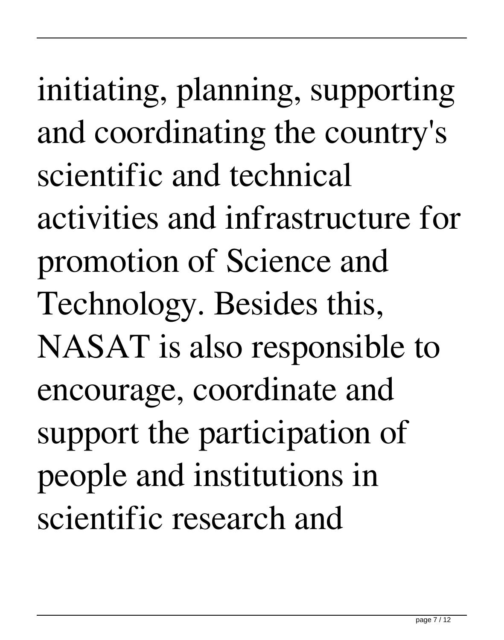initiating, planning, supporting and coordinating the country's scientific and technical activities and infrastructure for promotion of Science and Technology. Besides this, NASAT is also responsible to encourage, coordinate and support the participation of people and institutions in scientific research and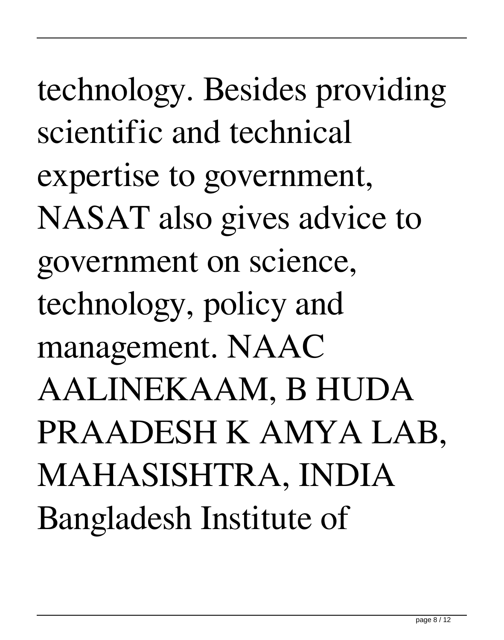technology. Besides providing scientific and technical expertise to government, NASAT also gives advice to government on science, technology, policy and management. NAAC AALINEKAAM, B HUDA PRAADESH K AMYA LAB, MAHASISHTRA, INDIA Bangladesh Institute of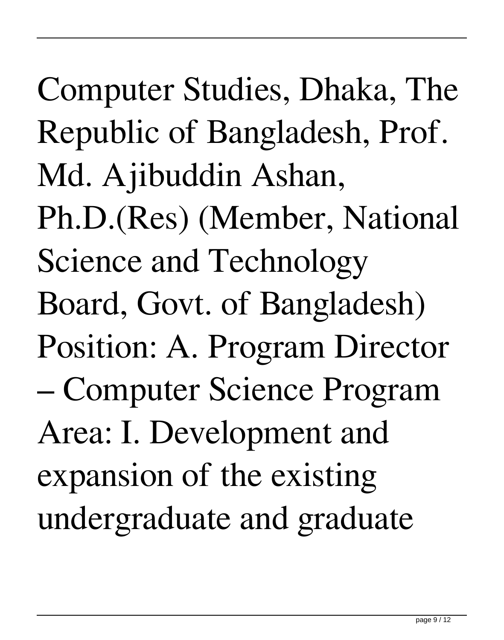Computer Studies, Dhaka, The Republic of Bangladesh, Prof. Md. Ajibuddin Ashan, Ph.D.(Res) (Member, National Science and Technology Board, Govt. of Bangladesh) Position: A. Program Director – Computer Science Program Area: I. Development and expansion of the existing undergraduate and graduate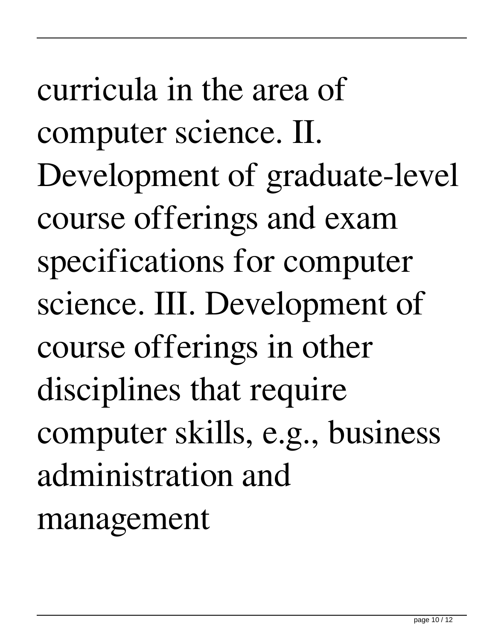curricula in the area of computer science. II. Development of graduate-level course offerings and exam specifications for computer science. III. Development of course offerings in other disciplines that require computer skills, e.g., business administration and management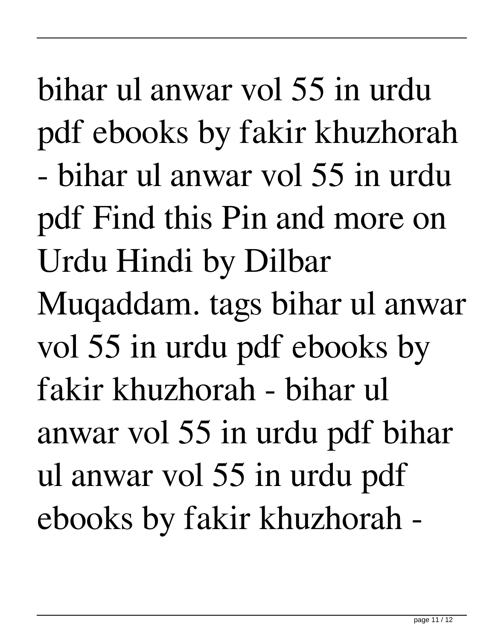bihar ul anwar vol 55 in urdu pdf ebooks by fakir khuzhorah - bihar ul anwar vol 55 in urdu pdf Find this Pin and more on Urdu Hindi by Dilbar Muqaddam. tags bihar ul anwar vol 55 in urdu pdf ebooks by fakir khuzhorah - bihar ul anwar vol 55 in urdu pdf bihar ul anwar vol 55 in urdu pdf ebooks by fakir khuzhorah -